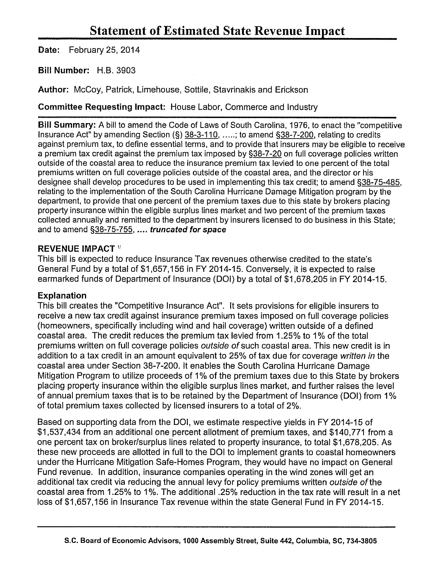Date: February 25, 2014

Bill Number: H.B. 3903

Author: McCoy, Patrick, Limehouse, Sottile, Stavrinakis and Erickson

Committee Requesting Impact: House Labor, Commerce and Industry

Bill Summary: A bill to amend the Code of Laws of South Carolina, 1976, to enact the "competitive Insurance Act" by amending Section (§) 38-3-110, .....; to amend §38-7-200, relating to credits against premium tax, to define essential terms, and to provide that insurers may be eligible to receive a premium tax credit against the premium tax imposed by §38-7 -20 on full coverage policies written outside of the coastal area to reduce the insurance premium tax levied to one percent of the total premiums written on full coverage policies outside of the coastal area, and the director or his designee shall develop procedures to be used in implementing this tax credit; to amend §38-75-485, relating to the implementation of the South Carolina Hurricane Damage Mitigation program by the department, to provide that one percent of the premium taxes due to this state by brokers placing property insurance within the eligible surplus lines market and two percent of the premium taxes collected annually and remitted to the department by insurers licensed to do business in this State; and to amend §38-75-755, .... truncated for space

## REVENUE IMPACT<sup>1</sup>

This bill is expected to reduce Insurance Tax revenues otherwise credited to the state's General Fund by a total of \$1,657,156 in FY 2014-15. Conversely, it is expected to raise earmarked funds of Department of Insurance (DOl) by a total of \$1,678,205 in FY 2014-15.

## Explanation

This bill creates the "Competitive Insurance Act". It sets provisions for eligible insurers to receive a new tax credit against insurance premium taxes imposed on full coverage policies (homeowners, specifically including wind and hail coverage) written outside of a defined coastal area. The credit reduces the premium tax levied from 1.25% to 1% of the total premiums written on full coverage policies outside of such coastal area. This new credit is in addition to a tax credit in an amount equivalent to 25% of tax due for coverage written in the coastal area under Section 38-7-200. It enables the South Carolina Hurricane Damage Mitigation Program to utilize proceeds of 1% of the premium taxes due to this State by brokers placing property insurance within the eligible surplus lines market, and further raises the level of annual premium taxes that is to be retained by the Department of Insurance (DOl) from 1% of total premium taxes collected by licensed insurers to a total of 2%.

Based on supporting data from the DOl, we estimate respective yields in FY 2014-15 of \$1,537,434 from an additional one percent allotment of premium taxes, and \$140,771 from a one percent tax on broker/surplus lines related to property insurance, to total \$1 ,678,205. As these new proceeds are allotted in full to the DOl to implement grants to coastal homeowners under the Hurricane Mitigation Safe-Homes Program, they would have no impact on General Fund revenue. In addition, insurance companies operating in the wind zones will get an additional tax credit via reducing the annual levy for policy premiums written outside of the coastal area from 1.25% to 1%. The additional .25% reduction in the tax rate will result in a net loss of \$1,657,156 in Insurance Tax revenue within the state General Fund in FY 2014-15.